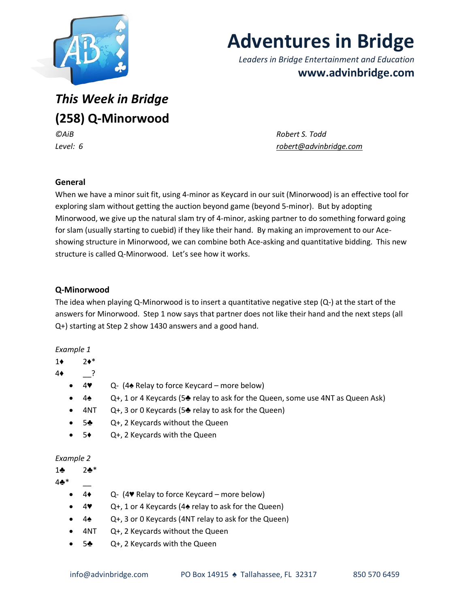

# **Adventures in Bridge**

*Leaders in Bridge Entertainment and Education* **www.advinbridge.com**

*This Week in Bridge*  **(258) Q-Minorwood**

*©AiB Robert S. Todd Level: 6 [robert@advinbridge.com](mailto:robert@advinbridge.com)*

## **General**

When we have a minor suit fit, using 4-minor as Keycard in our suit (Minorwood) is an effective tool for exploring slam without getting the auction beyond game (beyond 5-minor). But by adopting Minorwood, we give up the natural slam try of 4-minor, asking partner to do something forward going for slam (usually starting to cuebid) if they like their hand. By making an improvement to our Aceshowing structure in Minorwood, we can combine both Ace-asking and quantitative bidding. This new structure is called Q-Minorwood. Let's see how it works.

## **Q-Minorwood**

The idea when playing Q-Minorwood is to insert a quantitative negative step  $(Q<sub>-</sub>)$  at the start of the answers for Minorwood. Step 1 now says that partner does not like their hand and the next steps (all Q+) starting at Step 2 show 1430 answers and a good hand.

#### *Example 1*

- 1♦ 2♦\*
- 4♦ \_\_?
	- **4♥**  $Q (4 \cdot \text{Relay to force Keycard more below})$
	- 4♠ Q+, 1 or 4 Keycards (5♣ relay to ask for the Queen, some use 4NT as Queen Ask)
	- $4NT$  Q+, 3 or 0 Keycards (5 $\triangle$  relay to ask for the Queen)
	- 5♣ Q+, 2 Keycards without the Queen
	- 5♦ Q+, 2 Keycards with the Queen

#### *Example 2*

1♣ 2♣\*

 $4 +$ 

- 4♦ Q- (4♥ Relay to force Keycard more below)
- 4♥ Q+, 1 or 4 Keycards (4♠ relay to ask for the Queen)
- $4\spadesuit$  Q+, 3 or 0 Keycards (4NT relay to ask for the Queen)
- 4NT Q+, 2 Keycards without the Queen
- 5♣ Q+, 2 Keycards with the Queen